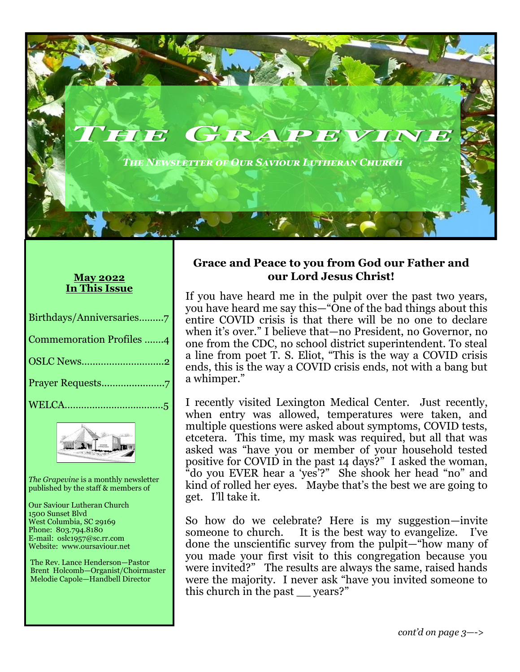*The Newsletter of Our Saviour Lutheran Church*

HIE GRAPEVINE

#### **May 2022 In This Issue**

| Birthdays/Anniversaries7        |
|---------------------------------|
| <b>Commemoration Profiles 4</b> |
|                                 |
|                                 |
|                                 |



*The Grapevine* is a monthly newsletter published by the staff & members of

Our Saviour Lutheran Church 1500 Sunset Blvd West Columbia, SC 29169 Phone: 803.794.8180 E-mail: oslc1957@sc.rr.com Website: www.oursaviour.net

 The Rev. Lance Henderson—Pastor Brent Holcomb—Organist/Choirmaster Melodie Capole—Handbell Director

#### **Grace and Peace to you from God our Father and our Lord Jesus Christ!**

If you have heard me in the pulpit over the past two years, you have heard me say this—"One of the bad things about this entire COVID crisis is that there will be no one to declare when it's over." I believe that—no President, no Governor, no one from the CDC, no school district superintendent. To steal a line from poet T. S. Eliot, "This is the way a COVID crisis ends, this is the way a COVID crisis ends, not with a bang but a whimper."

I recently visited Lexington Medical Center. Just recently, when entry was allowed, temperatures were taken, and multiple questions were asked about symptoms, COVID tests, etcetera. This time, my mask was required, but all that was asked was "have you or member of your household tested positive for COVID in the past 14 days?" I asked the woman, "do you EVER hear a 'yes'?" She shook her head "no" and kind of rolled her eyes. Maybe that's the best we are going to get. I'll take it.

So how do we celebrate? Here is my suggestion—invite someone to church. It is the best way to evangelize. I've done the unscientific survey from the pulpit—"how many of you made your first visit to this congregation because you were invited?" The results are always the same, raised hands were the majority. I never ask "have you invited someone to this church in the past \_\_ years?"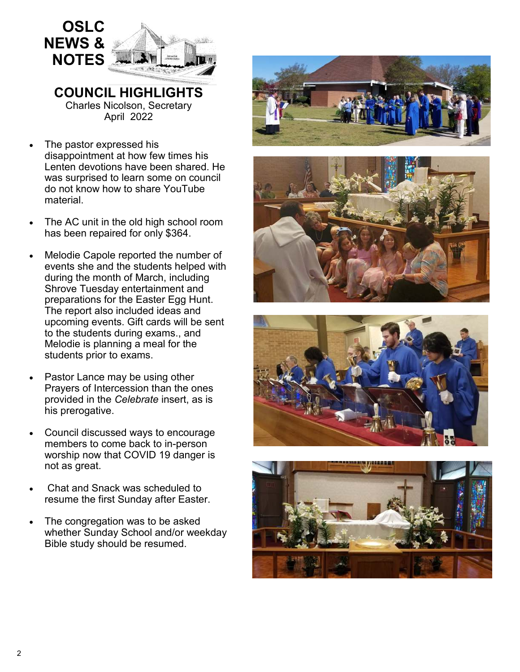

**COUNCIL HIGHLIGHTS**  Charles Nicolson, Secretary April 2022

- The pastor expressed his disappointment at how few times his Lenten devotions have been shared. He was surprised to learn some on council do not know how to share YouTube material.
- The AC unit in the old high school room has been repaired for only \$364.
- Melodie Capole reported the number of events she and the students helped with during the month of March, including Shrove Tuesday entertainment and preparations for the Easter Egg Hunt. The report also included ideas and upcoming events. Gift cards will be sent to the students during exams., and Melodie is planning a meal for the students prior to exams.
- Pastor Lance may be using other Prayers of Intercession than the ones provided in the *Celebrate* insert, as is his prerogative.
- Council discussed ways to encourage members to come back to in-person worship now that COVID 19 danger is not as great.
- Chat and Snack was scheduled to resume the first Sunday after Easter.
- The congregation was to be asked whether Sunday School and/or weekday Bible study should be resumed.







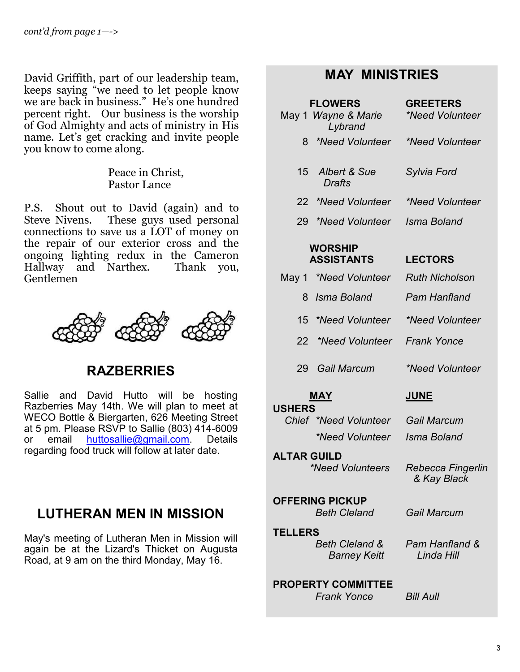David Griffith, part of our leadership team, keeps saying "we need to let people know we are back in business." He's one hundred percent right. Our business is the worship of God Almighty and acts of ministry in His name. Let's get cracking and invite people you know to come along.

> Peace in Christ, Pastor Lance

P.S. Shout out to David (again) and to<br>Steve Nivens. These guys used personal These guys used personal connections to save us a LOT of money on the repair of our exterior cross and the ongoing lighting redux in the Cameron Hallway and Narthex. Thank you, Gentlemen



# **RAZBERRIES**

Sallie and David Hutto will be hosting Razberries May 14th. We will plan to meet at WECO Bottle & Biergarten, 626 Meeting Street at 5 pm. Please RSVP to Sallie (803) 414-6009 or email [huttosallie@gmail.com.](mailto:huttosallie@gmail.com) Details regarding food truck will follow at later date.

# **LUTHERAN MEN IN MISSION**

May's meeting of Lutheran Men in Mission will again be at the Lizard's Thicket on Augusta Road, at 9 am on the third Monday, May 16.

# **MAY MINISTRIES**

|                        | <b>FLOWERS</b><br>May 1 Wayne & Marie<br>Lybrand | <b>GREETERS</b><br>*Need Volunteer |  |
|------------------------|--------------------------------------------------|------------------------------------|--|
| 8                      | *Need Volunteer                                  | *Need Volunteer                    |  |
| 15 <sup>1</sup>        | Albert & Sue<br><b>Drafts</b>                    | Sylvia Ford                        |  |
|                        | 22 *Need Volunteer                               | *Need Volunteer                    |  |
| 29                     | *Need Volunteer                                  | Isma Boland                        |  |
|                        | <b>WORSHIP</b><br><b>ASSISTANTS</b>              | <b>LECTORS</b>                     |  |
|                        | May 1 *Need Volunteer                            | <b>Ruth Nicholson</b>              |  |
| 8                      | Isma Boland                                      | Pam Hanfland                       |  |
| 15 -                   | *Need Volunteer                                  | *Need Volunteer                    |  |
| 22 <sub>2</sub>        | *Need Volunteer                                  | <b>Frank Yonce</b>                 |  |
| 29                     | Gail Marcum                                      | *Need Volunteer                    |  |
| <b>USHERS</b>          | <b>MAY</b>                                       | <u>JUNE</u>                        |  |
|                        | Chief *Need Volunteer                            | Gail Marcum                        |  |
|                        | *Need Volunteer                                  | Isma Boland                        |  |
| <b>ALTAR GUILD</b>     | *Need Volunteers                                 | Rebecca Fingerlin<br>& Kay Black   |  |
| <b>OFFERING PICKUP</b> |                                                  |                                    |  |

 *Beth Cleland Gail Marcum*

 **TELLERS**   *Beth Cleland & Barney Keitt*

*Pam Hanfland & Linda Hill*

#### **PROPERTY COMMITTEE**   *Frank Yonce Bill Aull*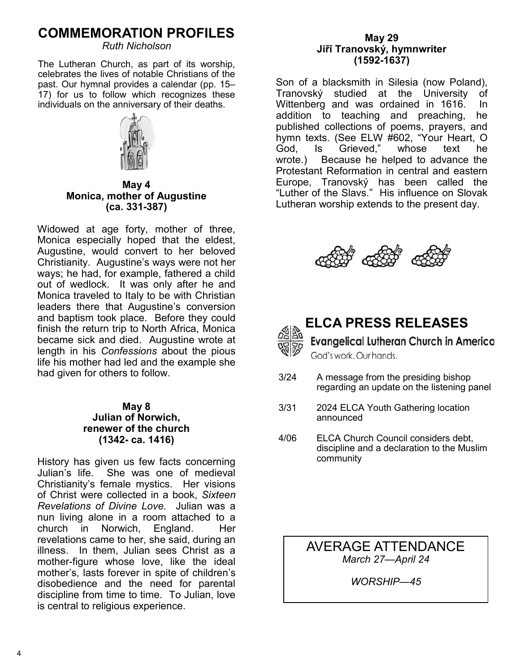# **COMMEMORATION PROFILES**

*Ruth Nicholson*

The Lutheran Church, as part of its worship, celebrates the lives of notable Christians of the past. Our hymnal provides a calendar (pp. 15– 17) for us to follow which recognizes these individuals on the anniversary of their deaths.



**May 4 Monica, mother of Augustine (ca. 331-387)**

Widowed at age forty, mother of three, Monica especially hoped that the eldest, Augustine, would convert to her beloved Christianity. Augustine's ways were not her ways; he had, for example, fathered a child out of wedlock. It was only after he and Monica traveled to Italy to be with Christian leaders there that Augustine's conversion and baptism took place. Before they could finish the return trip to North Africa, Monica became sick and died. Augustine wrote at length in his *Confessions* about the pious life his mother had led and the example she had given for others to follow.

#### **May 8 Julian of Norwich, renewer of the church (1342- ca. 1416)**

History has given us few facts concerning Julian's life. She was one of medieval Christianity's female mystics. Her visions of Christ were collected in a book, *Sixteen Revelations of Divine Love.* Julian was a nun living alone in a room attached to a church in Norwich, England. Her revelations came to her, she said, during an illness. In them, Julian sees Christ as a mother-figure whose love, like the ideal mother's, lasts forever in spite of children's disobedience and the need for parental discipline from time to time. To Julian, love is central to religious experience.

#### **May 29 Jiřī Tranovský, hymnwriter (1592-1637)**

Son of a blacksmith in Silesia (now Poland), Tranovský studied at the University of Wittenberg and was ordained in 1616. In addition to teaching and preaching, he published collections of poems, prayers, and hymn texts. (See ELW #602, "Your Heart, O God, Is Grieved," whose text he wrote.) Because he helped to advance the Protestant Reformation in central and eastern Europe, Tranovský has been called the "Luther of the Slavs." His influence on Slovak Lutheran worship extends to the present day.





# **ELCA PRESS RELEASES**

**Evangelical Lutheran Church in America** God's work, Our hands.

- 3/24 A message from the presiding bishop regarding an update on the listening panel
- 3/31 2024 ELCA Youth Gathering location announced
- 4/06 ELCA Church Council considers debt, discipline and a declaration to the Muslim community

AVERAGE ATTENDANCE *March 27—April 24*

*WORSHIP—45*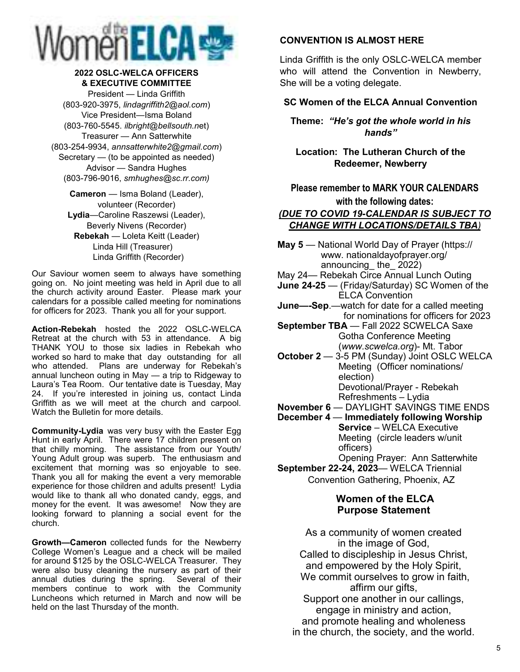

#### **2022 OSLC-WELCA OFFICERS & EXECUTIVE COMMITTEE**

President — Linda Griffith (803-920-3975, *lindagriffith2@aol.com*) Vice President—Isma Boland (803-760-5545. *ilbright@bellsouth.n*et) Treasurer — Ann Satterwhite (803-254-9934, *annsatterwhite2@gmail.com*) Secretary — (to be appointed as needed) Advisor — Sandra Hughes (803-796-9016, *smhughes@sc.rr.com)*

**Cameron** — Isma Boland (Leader), volunteer (Recorder) **Lydia**—Caroline Raszewsi (Leader), Beverly Nivens (Recorder) **Rebekah** — Loleta Keitt (Leader) Linda Hill (Treasurer) Linda Griffith (Recorder)

Our Saviour women seem to always have something going on. No joint meeting was held in April due to all the church activity around Easter. Please mark your calendars for a possible called meeting for nominations for officers for 2023. Thank you all for your support.

**Action-Rebekah** hosted the 2022 OSLC-WELCA Retreat at the church with 53 in attendance. A big THANK YOU to those six ladies in Rebekah who worked so hard to make that day outstanding for all who attended. Plans are underway for Rebekah's annual luncheon outing in May — a trip to Ridgeway to Laura's Tea Room. Our tentative date is Tuesday, May 24. If you're interested in joining us, contact Linda Griffith as we will meet at the church and carpool. Watch the Bulletin for more details.

**Community-Lydia** was very busy with the Easter Egg Hunt in early April. There were 17 children present on that chilly morning. The assistance from our Youth/ Young Adult group was superb. The enthusiasm and excitement that morning was so enjoyable to see. Thank you all for making the event a very memorable experience for those children and adults present! Lydia would like to thank all who donated candy, eggs, and money for the event. It was awesome! Now they are looking forward to planning a social event for the church.

**Growth—Cameron** collected funds for the Newberry College Women's League and a check will be mailed for around \$125 by the OSLC-WELCA Treasurer. They were also busy cleaning the nursery as part of their annual duties during the spring. Several of their members continue to work with the Community Luncheons which returned in March and now will be held on the last Thursday of the month.

#### **CONVENTION IS ALMOST HERE**

Linda Griffith is the only OSLC-WELCA member who will attend the Convention in Newberry, She will be a voting delegate.

#### **SC Women of the ELCA Annual Convention**

**Theme:** *"He's got the whole world in his hands"*

**Location: The Lutheran Church of the Redeemer, Newberry**

**Please remember to MARK YOUR CALENDARS with the following dates:** 

#### *(DUE TO COVID 19-CALENDAR IS SUBJECT TO CHANGE WITH LOCATIONS/DETAILS TBA)*

**May 5** — National World Day of Prayer (https:// www. nationaldayofprayer.org/ announcing\_ the\_ 2022)

May 24— Rebekah Circe Annual Lunch Outing

- **June 24-25**  (Friday/Saturday) SC Women of the ELCA Convention
- **June—-Sep**.—watch for date for a called meeting for nominations for officers for 2023

**September TBA** — Fall 2022 SCWELCA Saxe Gotha Conference Meeting (*www.scwelca.org*)- Mt. Tabor

**October 2** — 3-5 PM (Sunday) Joint OSLC WELCA Meeting (Officer nominations/ election) Devotional/Prayer - Rebekah

Refreshments – Lydia

**November 6** — DAYLIGHT SAVINGS TIME ENDS

- **December 4** — **Immediately following Worship Service** – WELCA Executive Meeting (circle leaders w/unit officers)
	- Opening Prayer: Ann Satterwhite
- **September 22-24, 2023** WELCA Triennial Convention Gathering, Phoenix, AZ

#### **Women of the ELCA Purpose Statement**

As a community of women created in the image of God, Called to discipleship in Jesus Christ, and empowered by the Holy Spirit, We commit ourselves to grow in faith, affirm our gifts, Support one another in our callings, engage in ministry and action, and promote healing and wholeness in the church, the society, and the world.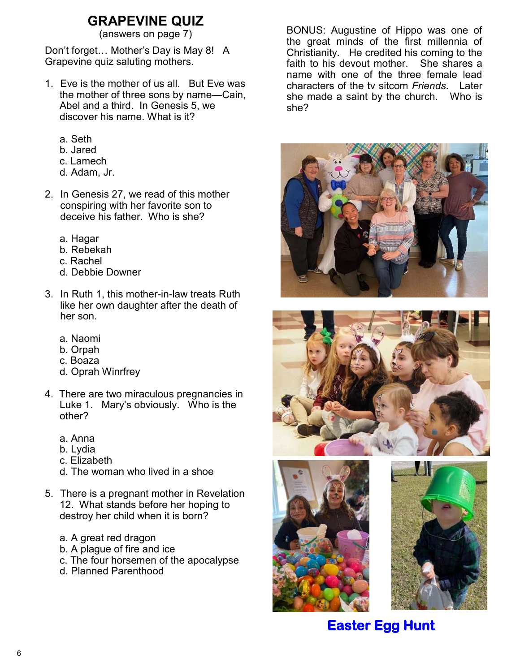# **GRAPEVINE QUIZ**<br>(answers on page 7)

Don't forget… Mother's Day is May 8! A Grapevine quiz saluting mothers.

- 1. Eve is the mother of us all. But Eve was the mother of three sons by name—Cain, Abel and a third. In Genesis 5, we discover his name. What is it?
	- a. Seth
	- b. Jared
	- c. Lamech
	- d. Adam, Jr.
- 2. In Genesis 27, we read of this mother conspiring with her favorite son to deceive his father. Who is she?
	- a. Hagar
	- b. Rebekah
	- c. Rachel
	- d. Debbie Downer
- 3. In Ruth 1, this mother-in-law treats Ruth like her own daughter after the death of her son.
	- a. Naomi
	- b. Orpah
	- c. Boaza
	- d. Oprah Winrfrey
- 4. There are two miraculous pregnancies in Luke 1. Mary's obviously. Who is the other?
	- a. Anna
	- b. Lydia
	- c. Elizabeth
	- d. The woman who lived in a shoe
- 5. There is a pregnant mother in Revelation 12. What stands before her hoping to destroy her child when it is born?
	- a. A great red dragon
	- b. A plague of fire and ice
	- c. The four horsemen of the apocalypse
	- d. Planned Parenthood

BONUS: Augustine of Hippo was one of the great minds of the first millennia of Christianity. He credited his coming to the faith to his devout mother. She shares a name with one of the three female lead characters of the tv sitcom *Friends*. Later she made a saint by the church. Who is she?









# **Easter Egg Hunt**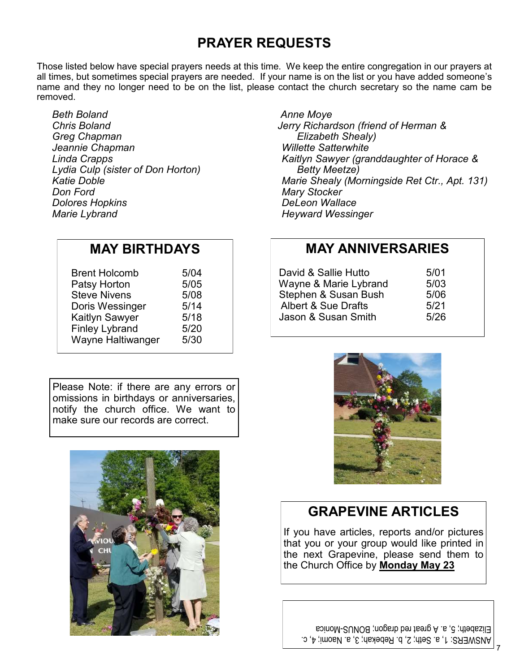# **PRAYER REQUESTS**

Those listed below have special prayers needs at this time. We keep the entire congregation in our prayers at all times, but sometimes special prayers are needed. If your name is on the list or you have added someone's name and they no longer need to be on the list, please contact the church secretary so the name cam be removed.

*Beth Boland Chris Boland Greg Chapman Jeannie Chapman Linda Crapps Lydia Culp (sister of Don Horton) Katie Doble Don Ford Dolores Hopkins Marie Lybrand*

# **MAY BIRTHDAYS**

| <b>Brent Holcomb</b>  | 5/04 |
|-----------------------|------|
| Patsy Horton          | 5/05 |
| <b>Steve Nivens</b>   | 5/08 |
| Doris Wessinger       | 5/14 |
| <b>Kaitlyn Sawyer</b> | 5/18 |
| <b>Finley Lybrand</b> | 5/20 |
| Wayne Haltiwanger     | 5/30 |

Please Note: if there are any errors or omissions in birthdays or anniversaries, notify the church office. We want to make sure our records are correct.



 *Anne Moye Jerry Richardson (friend of Herman & Elizabeth Shealy) Willette Satterwhite Kaitlyn Sawyer (granddaughter of Horace & Betty Meetze) Marie Shealy (Morningside Ret Ctr., Apt. 131) Mary Stocker DeLeon Wallace Heyward Wessinger*

### **MAY ANNIVERSARIES**

| David & Sallie Hutto           | 5/01 |
|--------------------------------|------|
| Wayne & Marie Lybrand          | 5/03 |
| Stephen & Susan Bush           | 5/06 |
| <b>Albert &amp; Sue Drafts</b> | 5/21 |
| Jason & Susan Smith            | 5/26 |



# **GRAPEVINE ARTICLES**

If you have articles, reports and/or pictures that you or your group would like printed in the next Grapevine, please send them to the Church Office by **Monday May 23**

ANSWERS: 1, a. Seth; 2, b. Rebekah; 3, a. Naomi; 4, c. Elizabeth; 5, a. A great red dragon; BONUS-Monica

7